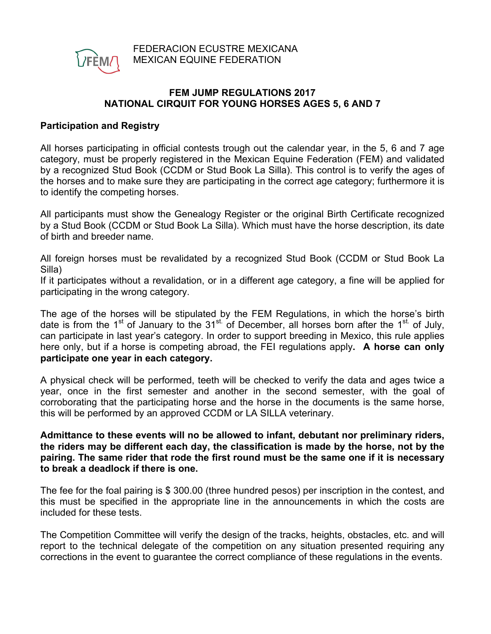

# **FEM JUMP REGULATIONS 2017 NATIONAL CIRQUIT FOR YOUNG HORSES AGES 5, 6 AND 7**

# **Participation and Registry**

All horses participating in official contests trough out the calendar year, in the 5, 6 and 7 age category, must be properly registered in the Mexican Equine Federation (FEM) and validated by a recognized Stud Book (CCDM or Stud Book La Silla). This control is to verify the ages of the horses and to make sure they are participating in the correct age category; furthermore it is to identify the competing horses.

All participants must show the Genealogy Register or the original Birth Certificate recognized by a Stud Book (CCDM or Stud Book La Silla). Which must have the horse description, its date of birth and breeder name.

All foreign horses must be revalidated by a recognized Stud Book (CCDM or Stud Book La Silla)

If it participates without a revalidation, or in a different age category, a fine will be applied for participating in the wrong category.

The age of the horses will be stipulated by the FEM Regulations, in which the horse's birth date is from the 1<sup>st</sup> of January to the 31<sup>st.</sup> of December, all horses born after the 1<sup>st.</sup> of July, can participate in last year's category. In order to support breeding in Mexico, this rule applies here only, but if a horse is competing abroad, the FEI regulations apply**. A horse can only participate one year in each category.**

A physical check will be performed, teeth will be checked to verify the data and ages twice a year, once in the first semester and another in the second semester, with the goal of corroborating that the participating horse and the horse in the documents is the same horse, this will be performed by an approved CCDM or LA SILLA veterinary.

**Admittance to these events will no be allowed to infant, debutant nor preliminary riders, the riders may be different each day, the classification is made by the horse, not by the pairing. The same rider that rode the first round must be the same one if it is necessary to break a deadlock if there is one.**

The fee for the foal pairing is \$ 300.00 (three hundred pesos) per inscription in the contest, and this must be specified in the appropriate line in the announcements in which the costs are included for these tests.

The Competition Committee will verify the design of the tracks, heights, obstacles, etc. and will report to the technical delegate of the competition on any situation presented requiring any corrections in the event to guarantee the correct compliance of these regulations in the events.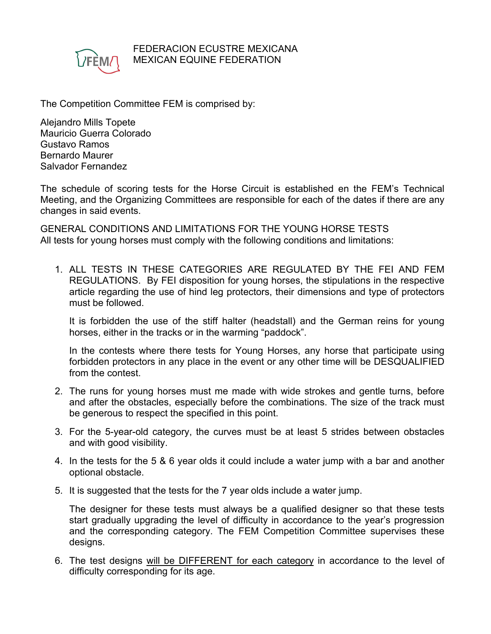

#### FEDERACION ECUSTRE MEXICANA MEXICAN EQUINE FEDERATION

The Competition Committee FEM is comprised by:

Alejandro Mills Topete Mauricio Guerra Colorado Gustavo Ramos Bernardo Maurer Salvador Fernandez

The schedule of scoring tests for the Horse Circuit is established en the FEM's Technical Meeting, and the Organizing Committees are responsible for each of the dates if there are any changes in said events.

GENERAL CONDITIONS AND LIMITATIONS FOR THE YOUNG HORSE TESTS All tests for young horses must comply with the following conditions and limitations:

1. ALL TESTS IN THESE CATEGORIES ARE REGULATED BY THE FEI AND FEM REGULATIONS. By FEI disposition for young horses, the stipulations in the respective article regarding the use of hind leg protectors, their dimensions and type of protectors must be followed.

It is forbidden the use of the stiff halter (headstall) and the German reins for young horses, either in the tracks or in the warming "paddock".

In the contests where there tests for Young Horses, any horse that participate using forbidden protectors in any place in the event or any other time will be DESQUALIFIED from the contest.

- 2. The runs for young horses must me made with wide strokes and gentle turns, before and after the obstacles, especially before the combinations. The size of the track must be generous to respect the specified in this point.
- 3. For the 5-year-old category, the curves must be at least 5 strides between obstacles and with good visibility.
- 4. In the tests for the 5 & 6 year olds it could include a water jump with a bar and another optional obstacle.
- 5. It is suggested that the tests for the 7 year olds include a water jump.

The designer for these tests must always be a qualified designer so that these tests start gradually upgrading the level of difficulty in accordance to the year's progression and the corresponding category. The FEM Competition Committee supervises these designs.

6. The test designs will be DIFFERENT for each category in accordance to the level of difficulty corresponding for its age.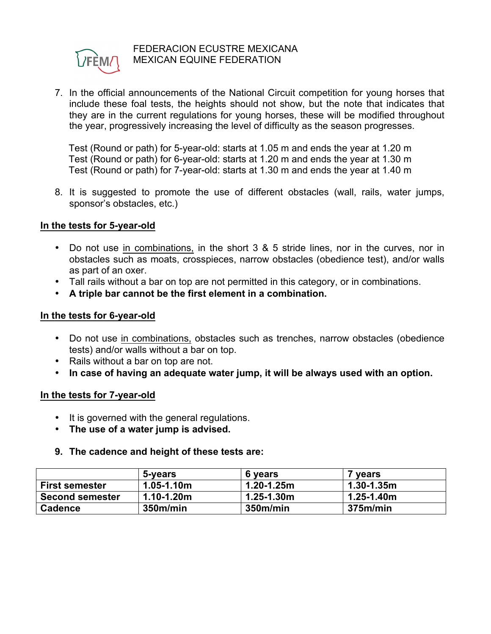

### FEDERACION ECUSTRE MEXICANA MEXICAN EQUINE FEDERATION

7. In the official announcements of the National Circuit competition for young horses that include these foal tests, the heights should not show, but the note that indicates that they are in the current regulations for young horses, these will be modified throughout the year, progressively increasing the level of difficulty as the season progresses.

Test (Round or path) for 5-year-old: starts at 1.05 m and ends the year at 1.20 m Test (Round or path) for 6-year-old: starts at 1.20 m and ends the year at 1.30 m Test (Round or path) for 7-year-old: starts at 1.30 m and ends the year at 1.40 m

8. It is suggested to promote the use of different obstacles (wall, rails, water jumps, sponsor's obstacles, etc.)

### **In the tests for 5-year-old**

- Do not use in combinations, in the short 3 & 5 stride lines, nor in the curves, nor in obstacles such as moats, crosspieces, narrow obstacles (obedience test), and/or walls as part of an oxer.
- Tall rails without a bar on top are not permitted in this category, or in combinations.
- **A triple bar cannot be the first element in a combination.**

### **In the tests for 6-year-old**

- Do not use in combinations, obstacles such as trenches, narrow obstacles (obedience tests) and/or walls without a bar on top.
- Rails without a bar on top are not.
- **In case of having an adequate water jump, it will be always used with an option.**

# **In the tests for 7-year-old**

- It is governed with the general regulations.
- **The use of a water jump is advised.**

#### **9. The cadence and height of these tests are:**

|                        | 5-years        | 6 years        | ' years         |
|------------------------|----------------|----------------|-----------------|
| <b>First semester</b>  | $1.05 - 1.10m$ | $1.20 - 1.25m$ | $1.30 - 1.35$ m |
| <b>Second semester</b> | $1.10 - 1.20m$ | $1.25 - 1.30m$ | $1.25 - 1.40m$  |
| <b>Cadence</b>         | 350m/min       | 350m/min       | 375m/min        |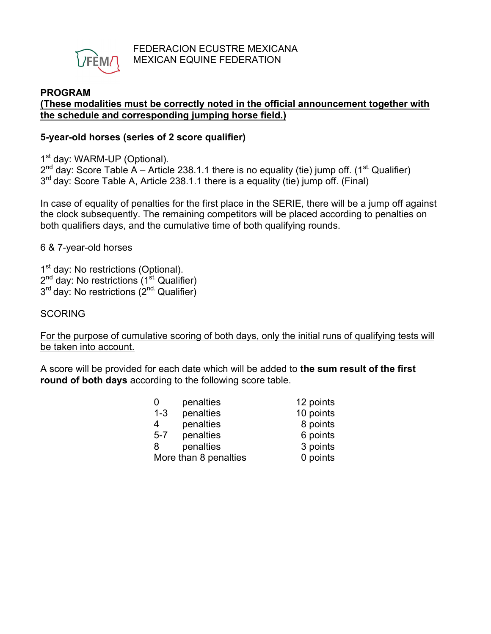

# **PROGRAM**

### **(These modalities must be correctly noted in the official announcement together with the schedule and corresponding jumping horse field.)**

### **5-year-old horses (series of 2 score qualifier)**

1<sup>st</sup> day: WARM-UP (Optional).

 $2^{nd}$  day: Score Table A – Article 238.1.1 there is no equality (tie) jump off. (1<sup>st.</sup> Qualifier) 3<sup>rd</sup> day: Score Table A, Article 238.1.1 there is a equality (tie) jump off. (Final)

In case of equality of penalties for the first place in the SERIE, there will be a jump off against the clock subsequently. The remaining competitors will be placed according to penalties on both qualifiers days, and the cumulative time of both qualifying rounds.

6 & 7-year-old horses

1<sup>st</sup> day: No restrictions (Optional).  $2<sup>nd</sup>$  day: No restrictions (1<sup>st.</sup> Qualifier)  $3<sup>rd</sup>$  day: No restrictions ( $2<sup>nd</sup>$  Qualifier)

# **SCORING**

For the purpose of cumulative scoring of both days, only the initial runs of qualifying tests will be taken into account.

A score will be provided for each date which will be added to **the sum result of the first round of both days** according to the following score table.

| 0                     | penalties | 12 points |
|-----------------------|-----------|-----------|
| $1 - 3$               | penalties | 10 points |
| 4                     | penalties | 8 points  |
| $5 - 7$               | penalties | 6 points  |
| 8                     | penalties | 3 points  |
| More than 8 penalties |           | 0 points  |
|                       |           |           |